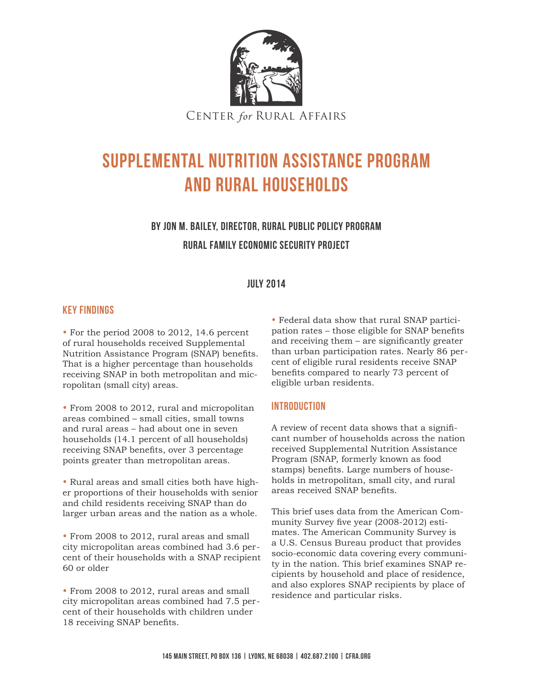

# Supplemental Nutrition Assistance Program and Rural Households

# By Jon M. Bailey, Director, Rural Public Policy Program Rural Family Economic Security Project

#### July 2014

#### Key Findings

• For the period 2008 to 2012, 14.6 percent of rural households received Supplemental Nutrition Assistance Program (SNAP) benefits. That is a higher percentage than households receiving SNAP in both metropolitan and micropolitan (small city) areas.

• From 2008 to 2012, rural and micropolitan areas combined – small cities, small towns and rural areas – had about one in seven households (14.1 percent of all households) receiving SNAP benefits, over 3 percentage points greater than metropolitan areas.

• Rural areas and small cities both have higher proportions of their households with senior and child residents receiving SNAP than do larger urban areas and the nation as a whole.

• From 2008 to 2012, rural areas and small city micropolitan areas combined had 3.6 percent of their households with a SNAP recipient 60 or older

• From 2008 to 2012, rural areas and small city micropolitan areas combined had 7.5 percent of their households with children under 18 receiving SNAP benefits.

• Federal data show that rural SNAP participation rates – those eligible for SNAP benefits and receiving them – are significantly greater than urban participation rates. Nearly 86 percent of eligible rural residents receive SNAP benefits compared to nearly 73 percent of eligible urban residents.

#### Introduction

A review of recent data shows that a significant number of households across the nation received Supplemental Nutrition Assistance Program (SNAP, formerly known as food stamps) benefits. Large numbers of households in metropolitan, small city, and rural areas received SNAP benefits.

This brief uses data from the American Community Survey five year (2008-2012) estimates. The American Community Survey is a U.S. Census Bureau product that provides socio-economic data covering every community in the nation. This brief examines SNAP recipients by household and place of residence, and also explores SNAP recipients by place of residence and particular risks.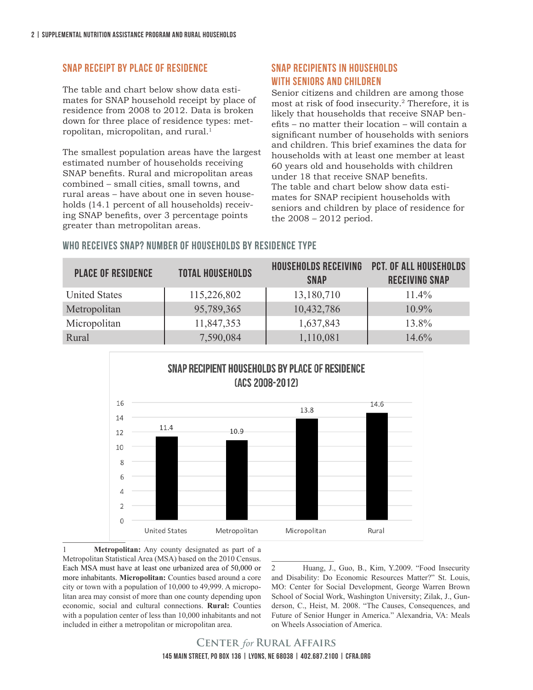#### SNAP Receipt by Place of Residence

The table and chart below show data estimates for SNAP household receipt by place of residence from 2008 to 2012. Data is broken down for three place of residence types: metropolitan, micropolitan, and rural.<sup>1</sup>

The smallest population areas have the largest estimated number of households receiving SNAP benefits. Rural and micropolitan areas combined – small cities, small towns, and rural areas – have about one in seven households (14.1 percent of all households) receiving SNAP benefits, over 3 percentage points greater than metropolitan areas.

### SNAP Recipients in Households with Seniors and Children

Senior citizens and children are among those most at risk of food insecurity.2 Therefore, it is likely that households that receive SNAP benefits – no matter their location – will contain a significant number of households with seniors and children. This brief examines the data for households with at least one member at least 60 years old and households with children under 18 that receive SNAP benefits. The table and chart below show data estimates for SNAP recipient households with seniors and children by place of residence for the 2008 – 2012 period.

### Who Receives SNAP? Number of Households by Residence Type

| <b>PLACE OF RESIDENCE</b> | <b>TOTAL HOUSEHOLDS</b> | <b>HOUSEHOLDS RECEIVING</b><br><b>SNAP</b> | <b>PCT. OF ALL HOUSEHOLDS</b><br><b>RECEIVING SNAP</b> |
|---------------------------|-------------------------|--------------------------------------------|--------------------------------------------------------|
| <b>United States</b>      | 115,226,802             | 13,180,710                                 | $11.4\%$                                               |
| Metropolitan              | 95,789,365              | 10,432,786                                 | $10.9\%$                                               |
| Micropolitan              | 11,847,353              | 1,637,843                                  | 13.8%                                                  |
| Rural                     | 7,590,084               | 1,110,081                                  | 14.6%                                                  |



**Metropolitan:** Any county designated as part of a Metropolitan Statistical Area (MSA) based on the 2010 Census. Each MSA must have at least one urbanized area of 50,000 or more inhabitants. **Micropolitan:** Counties based around a core city or town with a population of 10,000 to 49,999. A micropolitan area may consist of more than one county depending upon economic, social and cultural connections. **Rural:** Counties with a population center of less than 10,000 inhabitants and not included in either a metropolitan or micropolitan area.

2 Huang, J., Guo, B., Kim, Y.2009. "Food Insecurity and Disability: Do Economic Resources Matter?" St. Louis, MO: Center for Social Development, George Warren Brown School of Social Work, Washington University; Zilak, J., Gunderson, C., Heist, M. 2008. "The Causes, Consequences, and Future of Senior Hunger in America." Alexandria, VA: Meals on Wheels Association of America.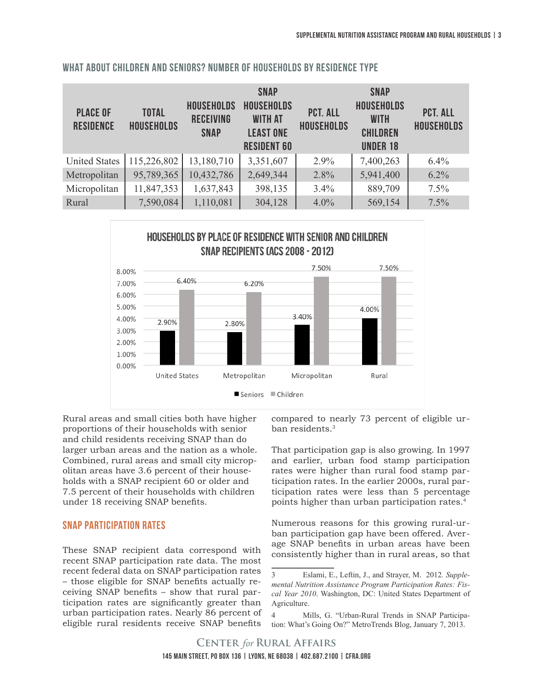| <b>PLACE OF</b><br><b>RESIDENCE</b> | <b>TOTAL</b><br><b>HOUSEHOLDS</b> | <b>HOUSEHOLDS</b><br><b>RECEIVING</b><br><b>SNAP</b> | <b>SNAP</b><br><b>HOUSEHOLDS</b><br><b>WITH AT</b><br><b>LEAST ONE</b><br><b>RESIDENT 60</b> | <b>PCT. ALL</b><br><b>HOUSEHOLDS</b> | <b>SNAP</b><br><b>HOUSEHOLDS</b><br><b>WITH</b><br><b>CHILDREN</b><br><b>UNDER 18</b> | <b>PCT. ALL</b><br><b>HOUSEHOLDS</b> |
|-------------------------------------|-----------------------------------|------------------------------------------------------|----------------------------------------------------------------------------------------------|--------------------------------------|---------------------------------------------------------------------------------------|--------------------------------------|
| <b>United States</b>                | 115,226,802                       | 13,180,710                                           | 3,351,607                                                                                    | $2.9\%$                              | 7,400,263                                                                             | 6.4%                                 |
| Metropolitan                        | 95,789,365                        | 10,432,786                                           | 2,649,344                                                                                    | 2.8%                                 | 5,941,400                                                                             | 6.2%                                 |
| Micropolitan                        | 11,847,353                        | 1,637,843                                            | 398,135                                                                                      | 3.4%                                 | 889,709                                                                               | 7.5%                                 |
| Rural                               | 7,590,084                         | 1,110,081                                            | 304,128                                                                                      | 4.0%                                 | 569,154                                                                               | 7.5%                                 |

#### What about Children and Seniors? Number of Households by Residence Type



Rural areas and small cities both have higher proportions of their households with senior and child residents receiving SNAP than do larger urban areas and the nation as a whole. Combined, rural areas and small city micropolitan areas have 3.6 percent of their households with a SNAP recipient 60 or older and 7.5 percent of their households with children under 18 receiving SNAP benefits.

#### SNAP Participation Rates

These SNAP recipient data correspond with recent SNAP participation rate data. The most recent federal data on SNAP participation rates – those eligible for SNAP benefits actually receiving SNAP benefits – show that rural participation rates are significantly greater than urban participation rates. Nearly 86 percent of eligible rural residents receive SNAP benefits

compared to nearly 73 percent of eligible urban residents.<sup>3</sup>

That participation gap is also growing. In 1997 and earlier, urban food stamp participation rates were higher than rural food stamp participation rates. In the earlier 2000s, rural participation rates were less than 5 percentage points higher than urban participation rates.4

Numerous reasons for this growing rural-urban participation gap have been offered. Average SNAP benefits in urban areas have been consistently higher than in rural areas, so that

<sup>3</sup> Eslami, E., Leftin, J., and Strayer, M. 2012*. Supplemental Nutrition Assistance Program Participation Rates: Fiscal Year 2010*. Washington, DC: United States Department of Agriculture.

<sup>4</sup> Mills, G. "Urban-Rural Trends in SNAP Participation: What's Going On?" MetroTrends Blog, January 7, 2013.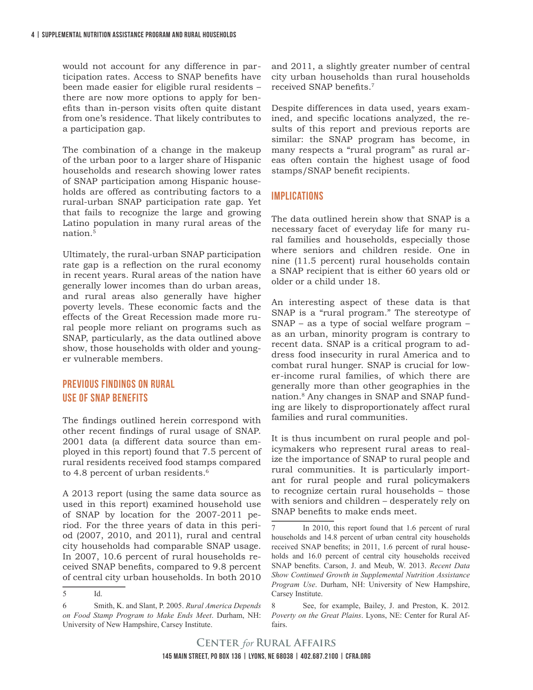would not account for any difference in participation rates. Access to SNAP benefits have been made easier for eligible rural residents – there are now more options to apply for benefits than in-person visits often quite distant from one's residence. That likely contributes to a participation gap.

The combination of a change in the makeup of the urban poor to a larger share of Hispanic households and research showing lower rates of SNAP participation among Hispanic households are offered as contributing factors to a rural-urban SNAP participation rate gap. Yet that fails to recognize the large and growing Latino population in many rural areas of the nation.5

Ultimately, the rural-urban SNAP participation rate gap is a reflection on the rural economy in recent years. Rural areas of the nation have generally lower incomes than do urban areas, and rural areas also generally have higher poverty levels. These economic facts and the effects of the Great Recession made more rural people more reliant on programs such as SNAP, particularly, as the data outlined above show, those households with older and younger vulnerable members.

## Previous Findings on Rural Use of SNAP Benefits

5 Id.

The findings outlined herein correspond with other recent findings of rural usage of SNAP. 2001 data (a different data source than employed in this report) found that 7.5 percent of rural residents received food stamps compared to 4.8 percent of urban residents.<sup>6</sup>

A 2013 report (using the same data source as used in this report) examined household use of SNAP by location for the 2007-2011 period. For the three years of data in this period (2007, 2010, and 2011), rural and central city households had comparable SNAP usage. In 2007, 10.6 percent of rural households received SNAP benefits, compared to 9.8 percent of central city urban households. In both 2010

and 2011, a slightly greater number of central city urban households than rural households received SNAP benefits.<sup>7</sup>

Despite differences in data used, years examined, and specific locations analyzed, the results of this report and previous reports are similar: the SNAP program has become, in many respects a "rural program" as rural areas often contain the highest usage of food stamps/SNAP benefit recipients.

#### **IMPLICATIONS**

The data outlined herein show that SNAP is a necessary facet of everyday life for many rural families and households, especially those where seniors and children reside. One in nine (11.5 percent) rural households contain a SNAP recipient that is either 60 years old or older or a child under 18.

An interesting aspect of these data is that SNAP is a "rural program." The stereotype of SNAP – as a type of social welfare program – as an urban, minority program is contrary to recent data. SNAP is a critical program to address food insecurity in rural America and to combat rural hunger. SNAP is crucial for lower-income rural families, of which there are generally more than other geographies in the nation.8 Any changes in SNAP and SNAP funding are likely to disproportionately affect rural families and rural communities.

It is thus incumbent on rural people and policymakers who represent rural areas to realize the importance of SNAP to rural people and rural communities. It is particularly important for rural people and rural policymakers to recognize certain rural households – those with seniors and children – desperately rely on SNAP benefits to make ends meet.

<sup>6</sup> Smith, K. and Slant, P. 2005. *Rural America Depends on Food Stamp Program to Make Ends Meet*. Durham, NH: University of New Hampshire, Carsey Institute.

In 2010, this report found that 1.6 percent of rural households and 14.8 percent of urban central city households received SNAP benefits; in 2011, 1.6 percent of rural households and 16.0 percent of central city households received SNAP benefits. Carson, J. and Meub, W. 2013. *Recent Data Show Continued Growth in Supplemental Nutrition Assistance Program Use*. Durham, NH: University of New Hampshire, Carsey Institute.

<sup>8</sup> See, for example, Bailey, J. and Preston, K. 2012*. Poverty on the Great Plains*. Lyons, NE: Center for Rural Affairs.